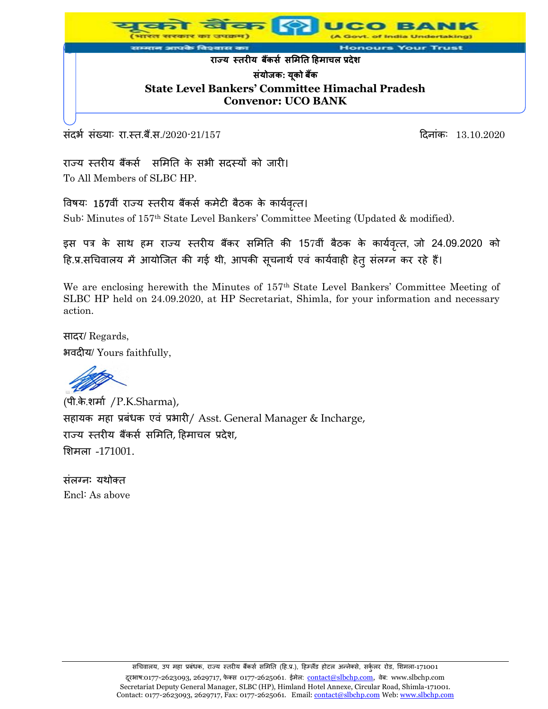

संदर्भ संख्याः रा.स्त.बैं.स./2020-21/157 हिलांक: 13.10.2020

राज्य स्तरीय बैंकर्स समिति के सभी सदस्यों को जारी। To All Members of SLBC HP.

विषय: 157वीं राज्य स्तरीय बैंकर्स कमेटी बैठक के कार्यवृत्त। Sub: Minutes of 157th State Level Bankers' Committee Meeting (Updated & modified).

इस पत्र के साथ हम राज्य स्तरीय बैंकर समिति की 157वीं बैठक के कार्यवृत्त, जो 24.09.2020 को हि.प्र.सचिवालय में आयोजित की गई थी, आपकी सूचनार्थ एवं कार्यवाही हेतु संलग्न कर रहे हैं।

We are enclosing herewith the Minutes of 157<sup>th</sup> State Level Bankers' Committee Meeting of SLBC HP held on 24.09.2020, at HP Secretariat, Shimla, for your information and necessary action.

सादर/ Regards, भवदीय/ Yours faithfully,

(पी.के.िमास /P.K.Sharma), सहायक महा प्रबंधक एवं प्रभारी/ Asst. General Manager & Incharge, राज्य स्तरीय बैंकर्स समिति, हिमाचल प्रदेश, मिमला -171001.

संलग्नः यथोक्त Encl: As above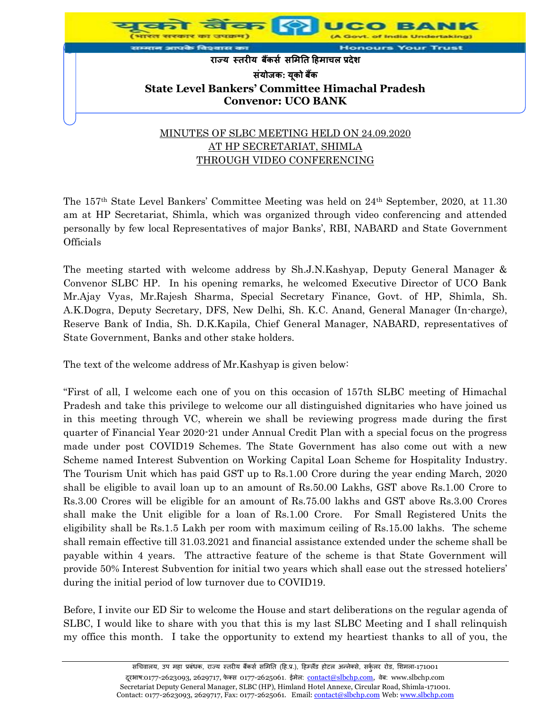

The 157th State Level Bankers' Committee Meeting was held on 24th September, 2020, at 11.30 am at HP Secretariat, Shimla, which was organized through video conferencing and attended personally by few local Representatives of major Banks', RBI, NABARD and State Government **Officials** 

The meeting started with welcome address by Sh.J.N.Kashyap, Deputy General Manager & Convenor SLBC HP. In his opening remarks, he welcomed Executive Director of UCO Bank Mr.Ajay Vyas, Mr.Rajesh Sharma, Special Secretary Finance, Govt. of HP, Shimla, Sh. A.K.Dogra, Deputy Secretary, DFS, New Delhi, Sh. K.C. Anand, General Manager (In-charge), Reserve Bank of India, Sh. D.K.Kapila, Chief General Manager, NABARD, representatives of State Government, Banks and other stake holders.

The text of the welcome address of Mr.Kashyap is given below:

"First of all, I welcome each one of you on this occasion of 157th SLBC meeting of Himachal Pradesh and take this privilege to welcome our all distinguished dignitaries who have joined us in this meeting through VC, wherein we shall be reviewing progress made during the first quarter of Financial Year 2020-21 under Annual Credit Plan with a special focus on the progress made under post COVID19 Schemes. The State Government has also come out with a new Scheme named Interest Subvention on Working Capital Loan Scheme for Hospitality Industry. The Tourism Unit which has paid GST up to Rs.1.00 Crore during the year ending March, 2020 shall be eligible to avail loan up to an amount of Rs.50.00 Lakhs, GST above Rs.1.00 Crore to Rs.3.00 Crores will be eligible for an amount of Rs.75.00 lakhs and GST above Rs.3.00 Crores shall make the Unit eligible for a loan of Rs.1.00 Crore. For Small Registered Units the eligibility shall be Rs.1.5 Lakh per room with maximum ceiling of Rs.15.00 lakhs. The scheme shall remain effective till 31.03.2021 and financial assistance extended under the scheme shall be payable within 4 years. The attractive feature of the scheme is that State Government will provide 50% Interest Subvention for initial two years which shall ease out the stressed hoteliers' during the initial period of low turnover due to COVID19.

Before, I invite our ED Sir to welcome the House and start deliberations on the regular agenda of SLBC, I would like to share with you that this is my last SLBC Meeting and I shall relinquish my office this month. I take the opportunity to extend my heartiest thanks to all of you, the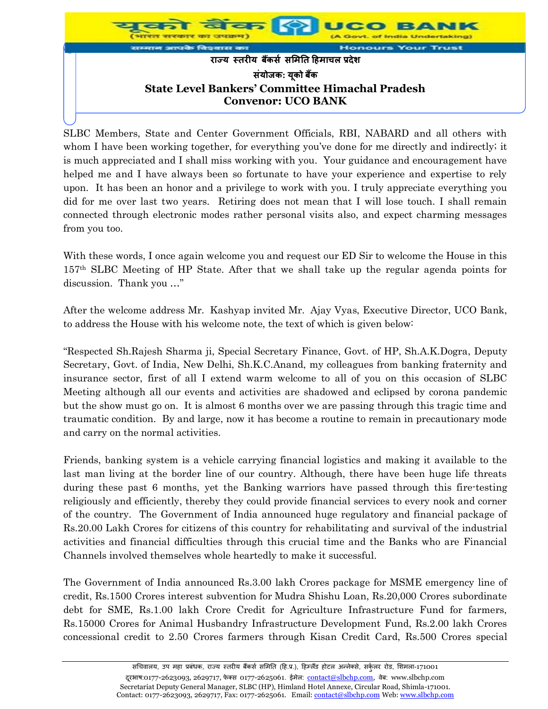

SLBC Members, State and Center Government Officials, RBI, NABARD and all others with whom I have been working together, for everything you've done for me directly and indirectly; it is much appreciated and I shall miss working with you. Your guidance and encouragement have helped me and I have always been so fortunate to have your experience and expertise to rely upon. It has been an honor and a privilege to work with you. I truly appreciate everything you did for me over last two years. Retiring does not mean that I will lose touch. I shall remain connected through electronic modes rather personal visits also, and expect charming messages from you too.

With these words, I once again welcome you and request our ED Sir to welcome the House in this 157th SLBC Meeting of HP State. After that we shall take up the regular agenda points for discussion. Thank you …"

After the welcome address Mr. Kashyap invited Mr. Ajay Vyas, Executive Director, UCO Bank, to address the House with his welcome note, the text of which is given below:

"Respected Sh.Rajesh Sharma ji, Special Secretary Finance, Govt. of HP, Sh.A.K.Dogra, Deputy Secretary, Govt. of India, New Delhi, Sh.K.C.Anand, my colleagues from banking fraternity and insurance sector, first of all I extend warm welcome to all of you on this occasion of SLBC Meeting although all our events and activities are shadowed and eclipsed by corona pandemic but the show must go on. It is almost 6 months over we are passing through this tragic time and traumatic condition. By and large, now it has become a routine to remain in precautionary mode and carry on the normal activities.

Friends, banking system is a vehicle carrying financial logistics and making it available to the last man living at the border line of our country. Although, there have been huge life threats during these past 6 months, yet the Banking warriors have passed through this fire-testing religiously and efficiently, thereby they could provide financial services to every nook and corner of the country. The Government of India announced huge regulatory and financial package of Rs.20.00 Lakh Crores for citizens of this country for rehabilitating and survival of the industrial activities and financial difficulties through this crucial time and the Banks who are Financial Channels involved themselves whole heartedly to make it successful.

The Government of India announced Rs.3.00 lakh Crores package for MSME emergency line of credit, Rs.1500 Crores interest subvention for Mudra Shishu Loan, Rs.20,000 Crores subordinate debt for SME, Rs.1.00 lakh Crore Credit for Agriculture Infrastructure Fund for farmers, Rs.15000 Crores for Animal Husbandry Infrastructure Development Fund, Rs.2.00 lakh Crores concessional credit to 2.50 Crores farmers through Kisan Credit Card, Rs.500 Crores special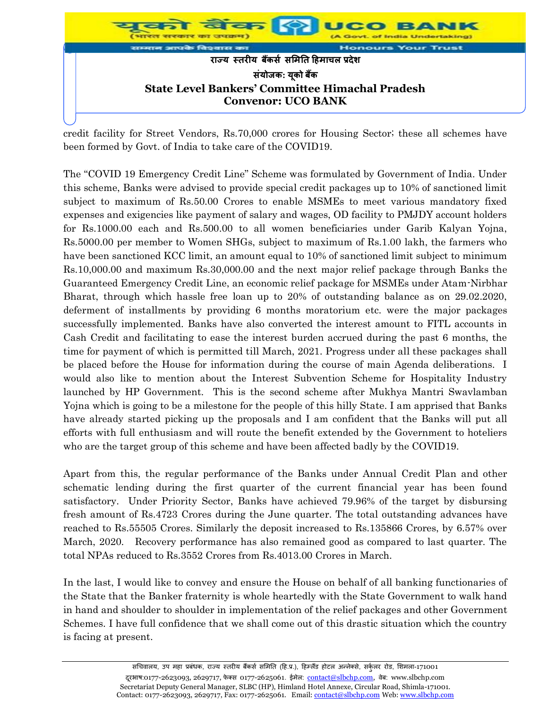

credit facility for Street Vendors, Rs.70,000 crores for Housing Sector; these all schemes have been formed by Govt. of India to take care of the COVID19.

The "COVID 19 Emergency Credit Line" Scheme was formulated by Government of India. Under this scheme, Banks were advised to provide special credit packages up to 10% of sanctioned limit subject to maximum of Rs.50.00 Crores to enable MSMEs to meet various mandatory fixed expenses and exigencies like payment of salary and wages, OD facility to PMJDY account holders for Rs.1000.00 each and Rs.500.00 to all women beneficiaries under Garib Kalyan Yojna, Rs.5000.00 per member to Women SHGs, subject to maximum of Rs.1.00 lakh, the farmers who have been sanctioned KCC limit, an amount equal to 10% of sanctioned limit subject to minimum Rs.10,000.00 and maximum Rs.30,000.00 and the next major relief package through Banks the Guaranteed Emergency Credit Line, an economic relief package for MSMEs under Atam-Nirbhar Bharat, through which hassle free loan up to 20% of outstanding balance as on 29.02.2020, deferment of installments by providing 6 months moratorium etc. were the major packages successfully implemented. Banks have also converted the interest amount to FITL accounts in Cash Credit and facilitating to ease the interest burden accrued during the past 6 months, the time for payment of which is permitted till March, 2021. Progress under all these packages shall be placed before the House for information during the course of main Agenda deliberations. I would also like to mention about the Interest Subvention Scheme for Hospitality Industry launched by HP Government. This is the second scheme after Mukhya Mantri Swavlamban Yojna which is going to be a milestone for the people of this hilly State. I am apprised that Banks have already started picking up the proposals and I am confident that the Banks will put all efforts with full enthusiasm and will route the benefit extended by the Government to hoteliers who are the target group of this scheme and have been affected badly by the COVID19.

Apart from this, the regular performance of the Banks under Annual Credit Plan and other schematic lending during the first quarter of the current financial year has been found satisfactory. Under Priority Sector, Banks have achieved 79.96% of the target by disbursing fresh amount of Rs.4723 Crores during the June quarter. The total outstanding advances have reached to Rs.55505 Crores. Similarly the deposit increased to Rs.135866 Crores, by 6.57% over March, 2020. Recovery performance has also remained good as compared to last quarter. The total NPAs reduced to Rs.3552 Crores from Rs.4013.00 Crores in March.

In the last, I would like to convey and ensure the House on behalf of all banking functionaries of the State that the Banker fraternity is whole heartedly with the State Government to walk hand in hand and shoulder to shoulder in implementation of the relief packages and other Government Schemes. I have full confidence that we shall come out of this drastic situation which the country is facing at present.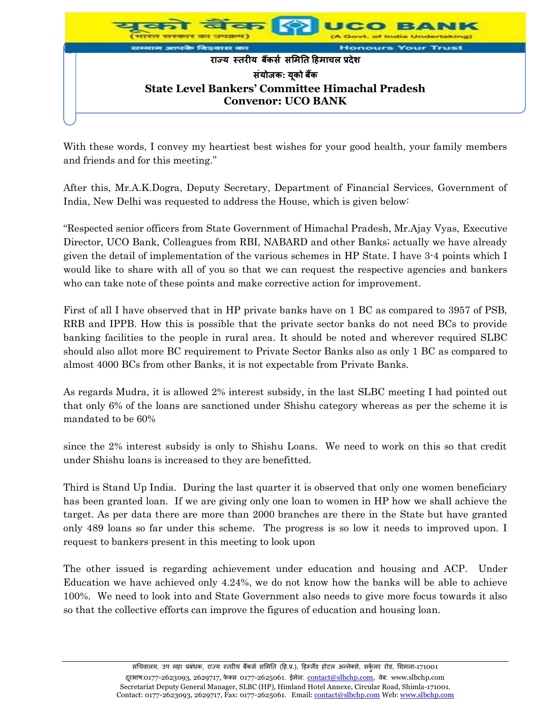

With these words, I convey my heartiest best wishes for your good health, your family members and friends and for this meeting."

After this, Mr.A.K.Dogra, Deputy Secretary, Department of Financial Services, Government of India, New Delhi was requested to address the House, which is given below:

"Respected senior officers from State Government of Himachal Pradesh, Mr.Ajay Vyas, Executive Director, UCO Bank, Colleagues from RBI, NABARD and other Banks; actually we have already given the detail of implementation of the various schemes in HP State. I have 3-4 points which I would like to share with all of you so that we can request the respective agencies and bankers who can take note of these points and make corrective action for improvement.

First of all I have observed that in HP private banks have on 1 BC as compared to 3957 of PSB, RRB and IPPB. How this is possible that the private sector banks do not need BCs to provide banking facilities to the people in rural area. It should be noted and wherever required SLBC should also allot more BC requirement to Private Sector Banks also as only 1 BC as compared to almost 4000 BCs from other Banks, it is not expectable from Private Banks.

As regards Mudra, it is allowed 2% interest subsidy, in the last SLBC meeting I had pointed out that only 6% of the loans are sanctioned under Shishu category whereas as per the scheme it is mandated to be 60%

since the 2% interest subsidy is only to Shishu Loans. We need to work on this so that credit under Shishu loans is increased to they are benefitted.

Third is Stand Up India. During the last quarter it is observed that only one women beneficiary has been granted loan. If we are giving only one loan to women in HP how we shall achieve the target. As per data there are more than 2000 branches are there in the State but have granted only 489 loans so far under this scheme. The progress is so low it needs to improved upon. I request to bankers present in this meeting to look upon

The other issued is regarding achievement under education and housing and ACP. Under Education we have achieved only 4.24%, we do not know how the banks will be able to achieve 100%. We need to look into and State Government also needs to give more focus towards it also so that the collective efforts can improve the figures of education and housing loan.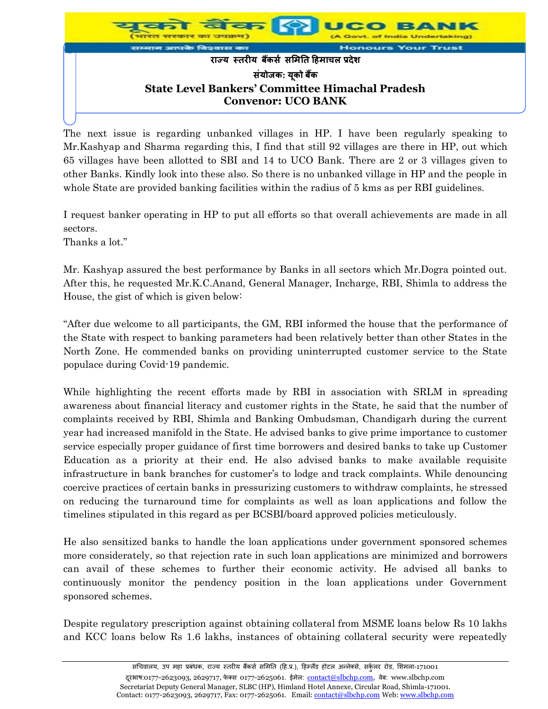

The next issue is regarding unbanked villages in HP. I have been regularly speaking to Mr.Kashyap and Sharma regarding this, I find that still 92 villages are there in HP, out which 65 villages have been allotted to SBI and 14 to UCO Bank. There are 2 or 3 villages given to other Banks. Kindly look into these also. So there is no unbanked village in HP and the people in whole State are provided banking facilities within the radius of 5 kms as per RBI guidelines.

I request banker operating in HP to put all efforts so that overall achievements are made in all sectors.

Thanks a lot."

Mr. Kashyap assured the best performance by Banks in all sectors which Mr.Dogra pointed out. After this, he requested Mr.K.C.Anand, General Manager, Incharge, RBI, Shimla to address the House, the gist of which is given below:

"After due welcome to all participants, the GM, RBI informed the house that the performance of the State with respect to banking parameters had been relatively better than other States in the North Zone. He commended banks on providing uninterrupted customer service to the State populace during Covid-19 pandemic.

While highlighting the recent efforts made by RBI in association with SRLM in spreading awareness about financial literacy and customer rights in the State, he said that the number of complaints received by RBI, Shimla and Banking Ombudsman, Chandigarh during the current year had increased manifold in the State. He advised banks to give prime importance to customer service especially proper guidance of first time borrowers and desired banks to take up Customer Education as a priority at their end. He also advised banks to make available requisite infrastructure in bank branches for customer's to lodge and track complaints. While denouncing coercive practices of certain banks in pressurizing customers to withdraw complaints, he stressed on reducing the turnaround time for complaints as well as loan applications and follow the timelines stipulated in this regard as per BCSBI/board approved policies meticulously.

He also sensitized banks to handle the loan applications under government sponsored schemes more considerately, so that rejection rate in such loan applications are minimized and borrowers can avail of these schemes to further their economic activity. He advised all banks to continuously monitor the pendency position in the loan applications under Government sponsored schemes.

Despite regulatory prescription against obtaining collateral from MSME loans below Rs 10 lakhs and KCC loans below Rs 1.6 lakhs, instances of obtaining collateral security were repeatedly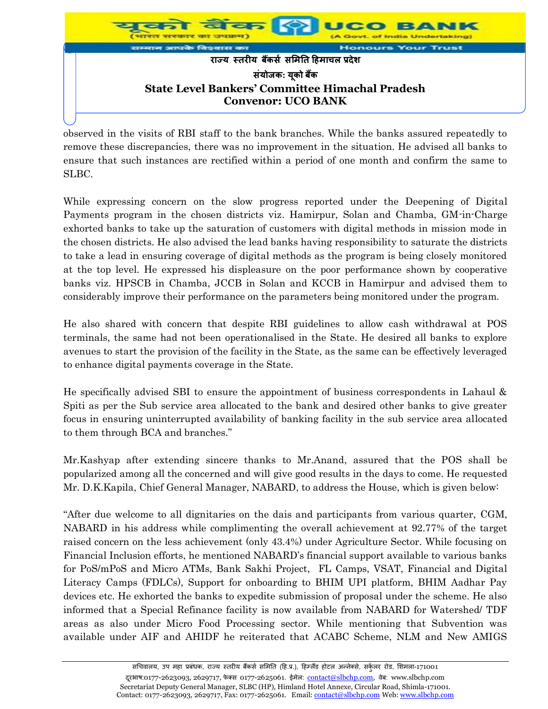

observed in the visits of RBI staff to the bank branches. While the banks assured repeatedly to remove these discrepancies, there was no improvement in the situation. He advised all banks to ensure that such instances are rectified within a period of one month and confirm the same to SLBC.

While expressing concern on the slow progress reported under the Deepening of Digital Payments program in the chosen districts viz. Hamirpur, Solan and Chamba, GM-in-Charge exhorted banks to take up the saturation of customers with digital methods in mission mode in the chosen districts. He also advised the lead banks having responsibility to saturate the districts to take a lead in ensuring coverage of digital methods as the program is being closely monitored at the top level. He expressed his displeasure on the poor performance shown by cooperative banks viz. HPSCB in Chamba, JCCB in Solan and KCCB in Hamirpur and advised them to considerably improve their performance on the parameters being monitored under the program.

He also shared with concern that despite RBI guidelines to allow cash withdrawal at POS terminals, the same had not been operationalised in the State. He desired all banks to explore avenues to start the provision of the facility in the State, as the same can be effectively leveraged to enhance digital payments coverage in the State.

He specifically advised SBI to ensure the appointment of business correspondents in Lahaul & Spiti as per the Sub service area allocated to the bank and desired other banks to give greater focus in ensuring uninterrupted availability of banking facility in the sub service area allocated to them through BCA and branches."

Mr.Kashyap after extending sincere thanks to Mr.Anand, assured that the POS shall be popularized among all the concerned and will give good results in the days to come. He requested Mr. D.K.Kapila, Chief General Manager, NABARD, to address the House, which is given below:

"After due welcome to all dignitaries on the dais and participants from various quarter, CGM, NABARD in his address while complimenting the overall achievement at 92.77% of the target raised concern on the less achievement (only 43.4%) under Agriculture Sector. While focusing on Financial Inclusion efforts, he mentioned NABARD's financial support available to various banks for PoS/mPoS and Micro ATMs, Bank Sakhi Project, FL Camps, VSAT, Financial and Digital Literacy Camps (FDLCs), Support for onboarding to BHIM UPI platform, BHIM Aadhar Pay devices etc. He exhorted the banks to expedite submission of proposal under the scheme. He also informed that a Special Refinance facility is now available from NABARD for Watershed/ TDF areas as also under Micro Food Processing sector. While mentioning that Subvention was available under AIF and AHIDF he reiterated that ACABC Scheme, NLM and New AMIGS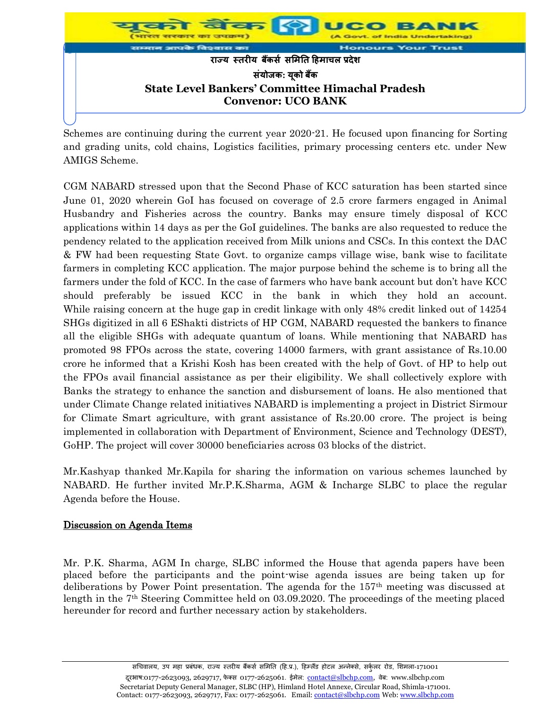

Schemes are continuing during the current year 2020-21. He focused upon financing for Sorting and grading units, cold chains, Logistics facilities, primary processing centers etc. under New AMIGS Scheme.

CGM NABARD stressed upon that the Second Phase of KCC saturation has been started since June 01, 2020 wherein GoI has focused on coverage of 2.5 crore farmers engaged in Animal Husbandry and Fisheries across the country. Banks may ensure timely disposal of KCC applications within 14 days as per the GoI guidelines. The banks are also requested to reduce the pendency related to the application received from Milk unions and CSCs. In this context the DAC & FW had been requesting State Govt. to organize camps village wise, bank wise to facilitate farmers in completing KCC application. The major purpose behind the scheme is to bring all the farmers under the fold of KCC. In the case of farmers who have bank account but don't have KCC should preferably be issued KCC in the bank in which they hold an account. While raising concern at the huge gap in credit linkage with only 48% credit linked out of 14254 SHGs digitized in all 6 EShakti districts of HP CGM, NABARD requested the bankers to finance all the eligible SHGs with adequate quantum of loans. While mentioning that NABARD has promoted 98 FPOs across the state, covering 14000 farmers, with grant assistance of Rs.10.00 crore he informed that a Krishi Kosh has been created with the help of Govt. of HP to help out the FPOs avail financial assistance as per their eligibility. We shall collectively explore with Banks the strategy to enhance the sanction and disbursement of loans. He also mentioned that under Climate Change related initiatives NABARD is implementing a project in District Sirmour for Climate Smart agriculture, with grant assistance of Rs.20.00 crore. The project is being implemented in collaboration with Department of Environment, Science and Technology (DEST), GoHP. The project will cover 30000 beneficiaries across 03 blocks of the district.

Mr.Kashyap thanked Mr.Kapila for sharing the information on various schemes launched by NABARD. He further invited Mr.P.K.Sharma, AGM & Incharge SLBC to place the regular Agenda before the House.

## Discussion on Agenda Items

Mr. P.K. Sharma, AGM In charge, SLBC informed the House that agenda papers have been placed before the participants and the point-wise agenda issues are being taken up for deliberations by Power Point presentation. The agenda for the 157th meeting was discussed at length in the 7<sup>th</sup> Steering Committee held on 03.09.2020. The proceedings of the meeting placed hereunder for record and further necessary action by stakeholders.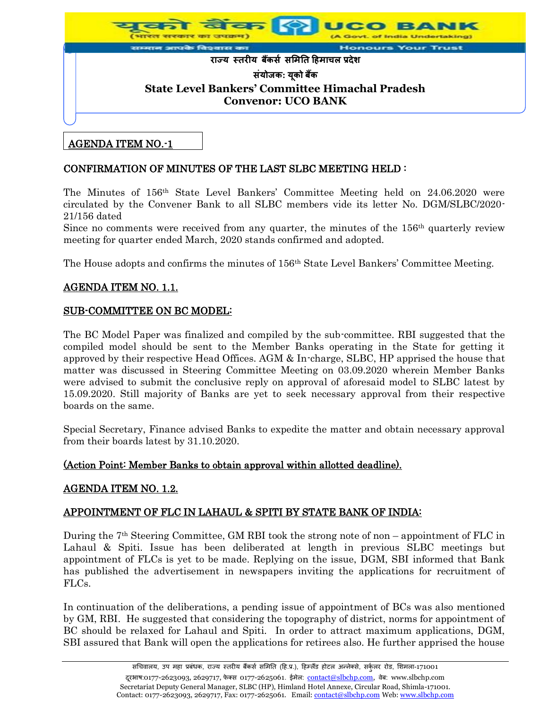

## AGENDA ITEM NO.-1

## CONFIRMATION OF MINUTES OF THE LAST SLBC MEETING HELD :

The Minutes of 156th State Level Bankers' Committee Meeting held on 24.06.2020 were circulated by the Convener Bank to all SLBC members vide its letter No. DGM/SLBC/2020- 21/156 dated

Since no comments were received from any quarter, the minutes of the 156th quarterly review meeting for quarter ended March, 2020 stands confirmed and adopted.

The House adopts and confirms the minutes of 156th State Level Bankers' Committee Meeting.

#### AGENDA ITEM NO. 1.1.

#### SUB-COMMITTEE ON BC MODEL:

The BC Model Paper was finalized and compiled by the sub-committee. RBI suggested that the compiled model should be sent to the Member Banks operating in the State for getting it approved by their respective Head Offices. AGM & In-charge, SLBC, HP apprised the house that matter was discussed in Steering Committee Meeting on 03.09.2020 wherein Member Banks were advised to submit the conclusive reply on approval of aforesaid model to SLBC latest by 15.09.2020. Still majority of Banks are yet to seek necessary approval from their respective boards on the same.

Special Secretary, Finance advised Banks to expedite the matter and obtain necessary approval from their boards latest by 31.10.2020.

#### (Action Point: Member Banks to obtain approval within allotted deadline).

#### AGENDA ITEM NO. 1.2.

## APPOINTMENT OF FLC IN LAHAUL & SPITI BY STATE BANK OF INDIA:

During the  $7<sup>th</sup>$  Steering Committee, GM RBI took the strong note of non – appointment of FLC in Lahaul & Spiti. Issue has been deliberated at length in previous SLBC meetings but appointment of FLCs is yet to be made. Replying on the issue, DGM, SBI informed that Bank has published the advertisement in newspapers inviting the applications for recruitment of FLCs.

In continuation of the deliberations, a pending issue of appointment of BCs was also mentioned by GM, RBI. He suggested that considering the topography of district, norms for appointment of BC should be relaxed for Lahaul and Spiti. In order to attract maximum applications, DGM, SBI assured that Bank will open the applications for retirees also. He further apprised the house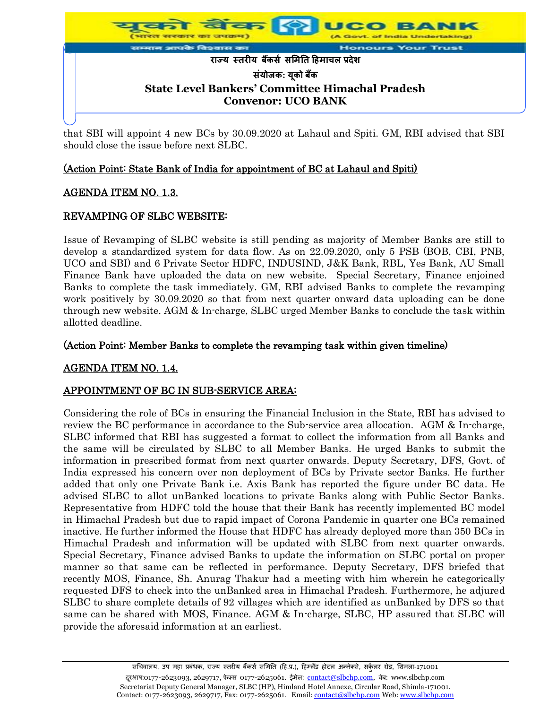

that SBI will appoint 4 new BCs by 30.09.2020 at Lahaul and Spiti. GM, RBI advised that SBI should close the issue before next SLBC.

## (Action Point: State Bank of India for appointment of BC at Lahaul and Spiti)

## AGENDA ITEM NO. 1.3.

#### REVAMPING OF SLBC WEBSITE:

Issue of Revamping of SLBC website is still pending as majority of Member Banks are still to develop a standardized system for data flow. As on 22.09.2020, only 5 PSB (BOB, CBI, PNB, UCO and SBI) and 6 Private Sector HDFC, INDUSIND, J&K Bank, RBL, Yes Bank, AU Small Finance Bank have uploaded the data on new website. Special Secretary, Finance enjoined Banks to complete the task immediately. GM, RBI advised Banks to complete the revamping work positively by 30.09.2020 so that from next quarter onward data uploading can be done through new website. AGM & In-charge, SLBC urged Member Banks to conclude the task within allotted deadline.

#### (Action Point: Member Banks to complete the revamping task within given timeline)

## AGENDA ITEM NO. 1.4.

## APPOINTMENT OF BC IN SUB-SERVICE AREA:

Considering the role of BCs in ensuring the Financial Inclusion in the State, RBI has advised to review the BC performance in accordance to the Sub-service area allocation. AGM & In-charge, SLBC informed that RBI has suggested a format to collect the information from all Banks and the same will be circulated by SLBC to all Member Banks. He urged Banks to submit the information in prescribed format from next quarter onwards. Deputy Secretary, DFS, Govt. of India expressed his concern over non deployment of BCs by Private sector Banks. He further added that only one Private Bank i.e. Axis Bank has reported the figure under BC data. He advised SLBC to allot unBanked locations to private Banks along with Public Sector Banks. Representative from HDFC told the house that their Bank has recently implemented BC model in Himachal Pradesh but due to rapid impact of Corona Pandemic in quarter one BCs remained inactive. He further informed the House that HDFC has already deployed more than 350 BCs in Himachal Pradesh and information will be updated with SLBC from next quarter onwards. Special Secretary, Finance advised Banks to update the information on SLBC portal on proper manner so that same can be reflected in performance. Deputy Secretary, DFS briefed that recently MOS, Finance, Sh. Anurag Thakur had a meeting with him wherein he categorically requested DFS to check into the unBanked area in Himachal Pradesh. Furthermore, he adjured SLBC to share complete details of 92 villages which are identified as unBanked by DFS so that same can be shared with MOS, Finance. AGM & In-charge, SLBC, HP assured that SLBC will provide the aforesaid information at an earliest.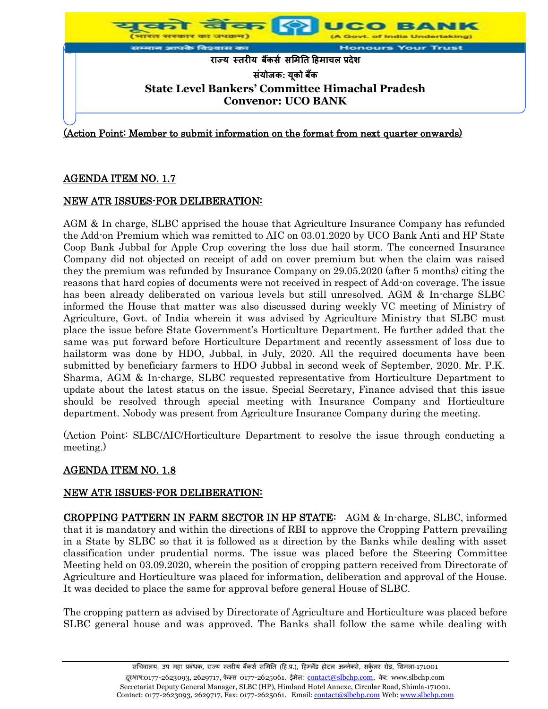

# AGENDA ITEM NO. 1.7

## NEW ATR ISSUES-FOR DELIBERATION:

AGM & In charge, SLBC apprised the house that Agriculture Insurance Company has refunded the Add-on Premium which was remitted to AIC on 03.01.2020 by UCO Bank Anti and HP State Coop Bank Jubbal for Apple Crop covering the loss due hail storm. The concerned Insurance Company did not objected on receipt of add on cover premium but when the claim was raised they the premium was refunded by Insurance Company on 29.05.2020 (after 5 months) citing the reasons that hard copies of documents were not received in respect of Add-on coverage. The issue has been already deliberated on various levels but still unresolved. AGM & In-charge SLBC informed the House that matter was also discussed during weekly VC meeting of Ministry of Agriculture, Govt. of India wherein it was advised by Agriculture Ministry that SLBC must place the issue before State Government's Horticulture Department. He further added that the same was put forward before Horticulture Department and recently assessment of loss due to hailstorm was done by HDO, Jubbal, in July, 2020. All the required documents have been submitted by beneficiary farmers to HDO Jubbal in second week of September, 2020. Mr. P.K. Sharma, AGM & In-charge, SLBC requested representative from Horticulture Department to update about the latest status on the issue. Special Secretary, Finance advised that this issue should be resolved through special meeting with Insurance Company and Horticulture department. Nobody was present from Agriculture Insurance Company during the meeting.

(Action Point: SLBC/AIC/Horticulture Department to resolve the issue through conducting a meeting.)

## AGENDA ITEM NO. 1.8

## NEW ATR ISSUES-FOR DELIBERATION:

CROPPING PATTERN IN FARM SECTOR IN HP STATE: AGM & In-charge, SLBC, informed that it is mandatory and within the directions of RBI to approve the Cropping Pattern prevailing in a State by SLBC so that it is followed as a direction by the Banks while dealing with asset classification under prudential norms. The issue was placed before the Steering Committee Meeting held on 03.09.2020, wherein the position of cropping pattern received from Directorate of Agriculture and Horticulture was placed for information, deliberation and approval of the House. It was decided to place the same for approval before general House of SLBC.

The cropping pattern as advised by Directorate of Agriculture and Horticulture was placed before SLBC general house and was approved. The Banks shall follow the same while dealing with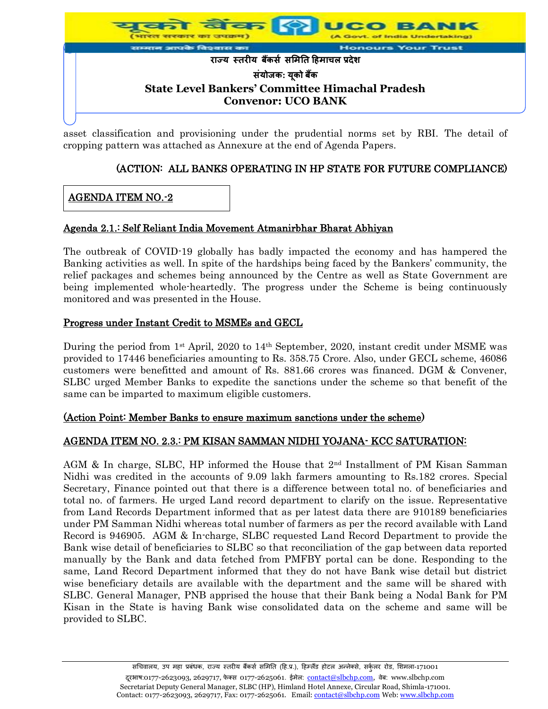

asset classification and provisioning under the prudential norms set by RBI. The detail of cropping pattern was attached as Annexure at the end of Agenda Papers.

# (ACTION: ALL BANKS OPERATING IN HP STATE FOR FUTURE COMPLIANCE)

## AGENDA ITEM NO.-2

#### Agenda 2.1.: Self Reliant India Movement Atmanirbhar Bharat Abhiyan

The outbreak of COVID-19 globally has badly impacted the economy and has hampered the Banking activities as well. In spite of the hardships being faced by the Bankers' community, the relief packages and schemes being announced by the Centre as well as State Government are being implemented whole-heartedly. The progress under the Scheme is being continuously monitored and was presented in the House.

#### Progress under Instant Credit to MSMEs and GECL

During the period from 1<sup>st</sup> April, 2020 to 14<sup>th</sup> September, 2020, instant credit under MSME was provided to 17446 beneficiaries amounting to Rs. 358.75 Crore. Also, under GECL scheme, 46086 customers were benefitted and amount of Rs. 881.66 crores was financed. DGM & Convener, SLBC urged Member Banks to expedite the sanctions under the scheme so that benefit of the same can be imparted to maximum eligible customers.

#### (Action Point: Member Banks to ensure maximum sanctions under the scheme)

## AGENDA ITEM NO. 2.3.: PM KISAN SAMMAN NIDHI YOJANA- KCC SATURATION:

AGM & In charge, SLBC, HP informed the House that  $2<sup>nd</sup>$  Installment of PM Kisan Samman Nidhi was credited in the accounts of 9.09 lakh farmers amounting to Rs.182 crores. Special Secretary, Finance pointed out that there is a difference between total no. of beneficiaries and total no. of farmers. He urged Land record department to clarify on the issue. Representative from Land Records Department informed that as per latest data there are 910189 beneficiaries under PM Samman Nidhi whereas total number of farmers as per the record available with Land Record is 946905. AGM & In-charge, SLBC requested Land Record Department to provide the Bank wise detail of beneficiaries to SLBC so that reconciliation of the gap between data reported manually by the Bank and data fetched from PMFBY portal can be done. Responding to the same, Land Record Department informed that they do not have Bank wise detail but district wise beneficiary details are available with the department and the same will be shared with SLBC. General Manager, PNB apprised the house that their Bank being a Nodal Bank for PM Kisan in the State is having Bank wise consolidated data on the scheme and same will be provided to SLBC.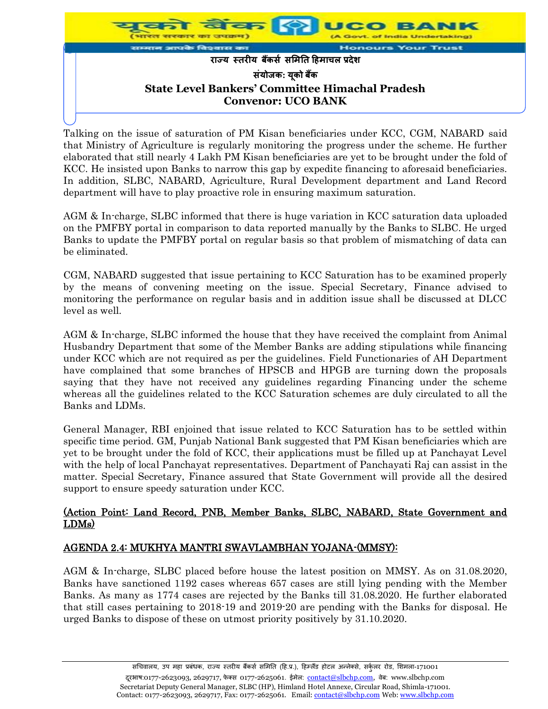

Talking on the issue of saturation of PM Kisan beneficiaries under KCC, CGM, NABARD said that Ministry of Agriculture is regularly monitoring the progress under the scheme. He further elaborated that still nearly 4 Lakh PM Kisan beneficiaries are yet to be brought under the fold of KCC. He insisted upon Banks to narrow this gap by expedite financing to aforesaid beneficiaries. In addition, SLBC, NABARD, Agriculture, Rural Development department and Land Record department will have to play proactive role in ensuring maximum saturation.

AGM & In-charge, SLBC informed that there is huge variation in KCC saturation data uploaded on the PMFBY portal in comparison to data reported manually by the Banks to SLBC. He urged Banks to update the PMFBY portal on regular basis so that problem of mismatching of data can be eliminated.

CGM, NABARD suggested that issue pertaining to KCC Saturation has to be examined properly by the means of convening meeting on the issue. Special Secretary, Finance advised to monitoring the performance on regular basis and in addition issue shall be discussed at DLCC level as well.

AGM & In-charge, SLBC informed the house that they have received the complaint from Animal Husbandry Department that some of the Member Banks are adding stipulations while financing under KCC which are not required as per the guidelines. Field Functionaries of AH Department have complained that some branches of HPSCB and HPGB are turning down the proposals saying that they have not received any guidelines regarding Financing under the scheme whereas all the guidelines related to the KCC Saturation schemes are duly circulated to all the Banks and LDMs.

General Manager, RBI enjoined that issue related to KCC Saturation has to be settled within specific time period. GM, Punjab National Bank suggested that PM Kisan beneficiaries which are yet to be brought under the fold of KCC, their applications must be filled up at Panchayat Level with the help of local Panchayat representatives. Department of Panchayati Raj can assist in the matter. Special Secretary, Finance assured that State Government will provide all the desired support to ensure speedy saturation under KCC.

#### (Action Point: Land Record, PNB, Member Banks, SLBC, NABARD, State Government and LDMs)

## AGENDA 2.4: MUKHYA MANTRI SWAVLAMBHAN YOJANA-(MMSY):

AGM & In-charge, SLBC placed before house the latest position on MMSY. As on 31.08.2020, Banks have sanctioned 1192 cases whereas 657 cases are still lying pending with the Member Banks. As many as 1774 cases are rejected by the Banks till 31.08.2020. He further elaborated that still cases pertaining to 2018-19 and 2019-20 are pending with the Banks for disposal. He urged Banks to dispose of these on utmost priority positively by 31.10.2020.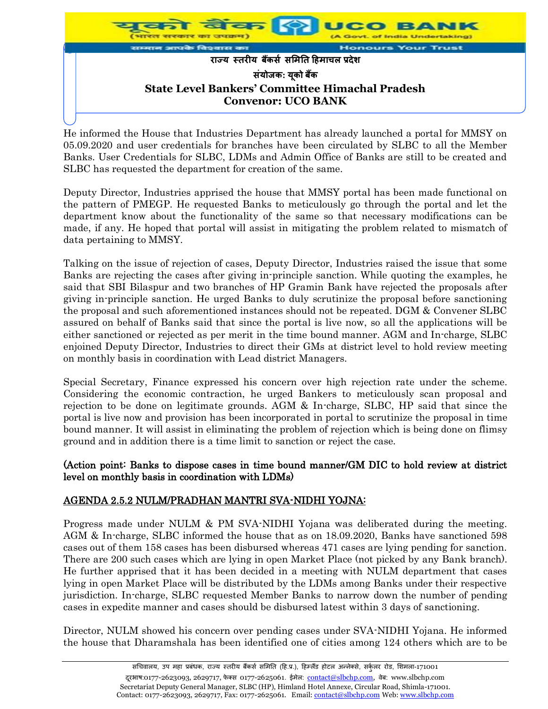

He informed the House that Industries Department has already launched a portal for MMSY on 05.09.2020 and user credentials for branches have been circulated by SLBC to all the Member Banks. User Credentials for SLBC, LDMs and Admin Office of Banks are still to be created and SLBC has requested the department for creation of the same.

Deputy Director, Industries apprised the house that MMSY portal has been made functional on the pattern of PMEGP. He requested Banks to meticulously go through the portal and let the department know about the functionality of the same so that necessary modifications can be made, if any. He hoped that portal will assist in mitigating the problem related to mismatch of data pertaining to MMSY.

Talking on the issue of rejection of cases, Deputy Director, Industries raised the issue that some Banks are rejecting the cases after giving in-principle sanction. While quoting the examples, he said that SBI Bilaspur and two branches of HP Gramin Bank have rejected the proposals after giving in-principle sanction. He urged Banks to duly scrutinize the proposal before sanctioning the proposal and such aforementioned instances should not be repeated. DGM & Convener SLBC assured on behalf of Banks said that since the portal is live now, so all the applications will be either sanctioned or rejected as per merit in the time bound manner. AGM and In-charge, SLBC enjoined Deputy Director, Industries to direct their GMs at district level to hold review meeting on monthly basis in coordination with Lead district Managers.

Special Secretary, Finance expressed his concern over high rejection rate under the scheme. Considering the economic contraction, he urged Bankers to meticulously scan proposal and rejection to be done on legitimate grounds. AGM & In-charge, SLBC, HP said that since the portal is live now and provision has been incorporated in portal to scrutinize the proposal in time bound manner. It will assist in eliminating the problem of rejection which is being done on flimsy ground and in addition there is a time limit to sanction or reject the case.

#### (Action point: Banks to dispose cases in time bound manner/GM DIC to hold review at district level on monthly basis in coordination with LDMs)

# AGENDA 2.5.2 NULM/PRADHAN MANTRI SVA-NIDHI YOJNA:

Progress made under NULM & PM SVA-NIDHI Yojana was deliberated during the meeting. AGM & In-charge, SLBC informed the house that as on 18.09.2020, Banks have sanctioned 598 cases out of them 158 cases has been disbursed whereas 471 cases are lying pending for sanction. There are 200 such cases which are lying in open Market Place (not picked by any Bank branch). He further apprised that it has been decided in a meeting with NULM department that cases lying in open Market Place will be distributed by the LDMs among Banks under their respective jurisdiction. In-charge, SLBC requested Member Banks to narrow down the number of pending cases in expedite manner and cases should be disbursed latest within 3 days of sanctioning.

Director, NULM showed his concern over pending cases under SVA-NIDHI Yojana. He informed the house that Dharamshala has been identified one of cities among 124 others which are to be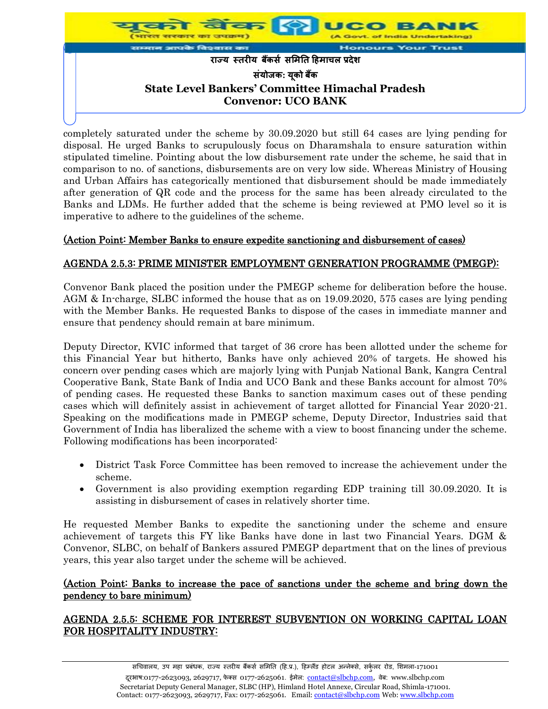

completely saturated under the scheme by 30.09.2020 but still 64 cases are lying pending for disposal. He urged Banks to scrupulously focus on Dharamshala to ensure saturation within stipulated timeline. Pointing about the low disbursement rate under the scheme, he said that in comparison to no. of sanctions, disbursements are on very low side. Whereas Ministry of Housing and Urban Affairs has categorically mentioned that disbursement should be made immediately after generation of QR code and the process for the same has been already circulated to the Banks and LDMs. He further added that the scheme is being reviewed at PMO level so it is imperative to adhere to the guidelines of the scheme.

## (Action Point: Member Banks to ensure expedite sanctioning and disbursement of cases)

## AGENDA 2.5.3: PRIME MINISTER EMPLOYMENT GENERATION PROGRAMME (PMEGP):

Convenor Bank placed the position under the PMEGP scheme for deliberation before the house. AGM & In-charge, SLBC informed the house that as on 19.09.2020, 575 cases are lying pending with the Member Banks. He requested Banks to dispose of the cases in immediate manner and ensure that pendency should remain at bare minimum.

Deputy Director, KVIC informed that target of 36 crore has been allotted under the scheme for this Financial Year but hitherto, Banks have only achieved 20% of targets. He showed his concern over pending cases which are majorly lying with Punjab National Bank, Kangra Central Cooperative Bank, State Bank of India and UCO Bank and these Banks account for almost 70% of pending cases. He requested these Banks to sanction maximum cases out of these pending cases which will definitely assist in achievement of target allotted for Financial Year 2020-21. Speaking on the modifications made in PMEGP scheme, Deputy Director, Industries said that Government of India has liberalized the scheme with a view to boost financing under the scheme. Following modifications has been incorporated:

- District Task Force Committee has been removed to increase the achievement under the scheme.
- Government is also providing exemption regarding EDP training till 30.09.2020. It is assisting in disbursement of cases in relatively shorter time.

He requested Member Banks to expedite the sanctioning under the scheme and ensure achievement of targets this FY like Banks have done in last two Financial Years. DGM & Convenor, SLBC, on behalf of Bankers assured PMEGP department that on the lines of previous years, this year also target under the scheme will be achieved.

#### (Action Point: Banks to increase the pace of sanctions under the scheme and bring down the pendency to bare minimum)

## AGENDA 2.5.5: SCHEME FOR INTEREST SUBVENTION ON WORKING CAPITAL LOAN FOR HOSPITALITY INDUSTRY: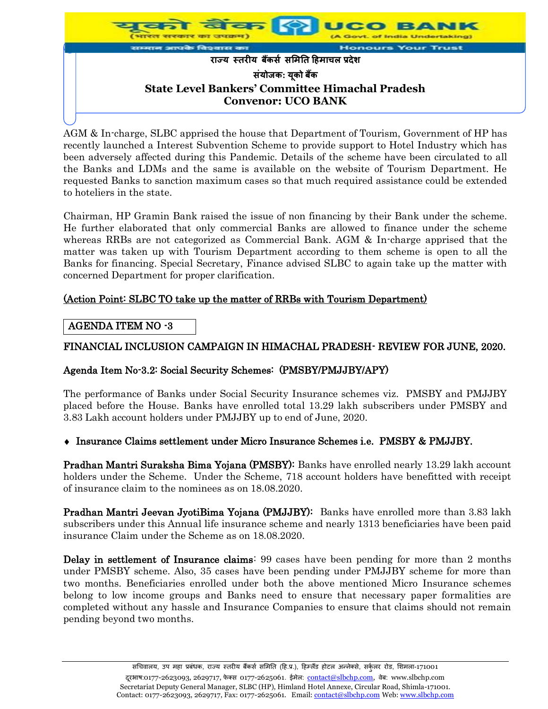

AGM & In-charge, SLBC apprised the house that Department of Tourism, Government of HP has recently launched a Interest Subvention Scheme to provide support to Hotel Industry which has been adversely affected during this Pandemic. Details of the scheme have been circulated to all the Banks and LDMs and the same is available on the website of Tourism Department. He requested Banks to sanction maximum cases so that much required assistance could be extended to hoteliers in the state.

Chairman, HP Gramin Bank raised the issue of non financing by their Bank under the scheme. He further elaborated that only commercial Banks are allowed to finance under the scheme whereas RRBs are not categorized as Commercial Bank. AGM & In-charge apprised that the matter was taken up with Tourism Department according to them scheme is open to all the Banks for financing. Special Secretary, Finance advised SLBC to again take up the matter with concerned Department for proper clarification.

## (Action Point: SLBC TO take up the matter of RRBs with Tourism Department)

## AGENDA ITEM NO -3

## FINANCIAL INCLUSION CAMPAIGN IN HIMACHAL PRADESH- REVIEW FOR JUNE, 2020.

## Agenda Item No-3.2: Social Security Schemes: (PMSBY/PMJJBY/APY)

The performance of Banks under Social Security Insurance schemes viz. PMSBY and PMJJBY placed before the House. Banks have enrolled total 13.29 lakh subscribers under PMSBY and 3.83 Lakh account holders under PMJJBY up to end of June, 2020.

## Insurance Claims settlement under Micro Insurance Schemes i.e. PMSBY & PMJJBY.

Pradhan Mantri Suraksha Bima Yojana (PMSBY): Banks have enrolled nearly 13.29 lakh account holders under the Scheme. Under the Scheme, 718 account holders have benefitted with receipt of insurance claim to the nominees as on 18.08.2020.

Pradhan Mantri Jeevan JyotiBima Yojana (PMJJBY): Banks have enrolled more than 3.83 lakh subscribers under this Annual life insurance scheme and nearly 1313 beneficiaries have been paid insurance Claim under the Scheme as on 18.08.2020.

Delay in settlement of Insurance claims: 99 cases have been pending for more than 2 months under PMSBY scheme. Also, 35 cases have been pending under PMJJBY scheme for more than two months. Beneficiaries enrolled under both the above mentioned Micro Insurance schemes belong to low income groups and Banks need to ensure that necessary paper formalities are completed without any hassle and Insurance Companies to ensure that claims should not remain pending beyond two months.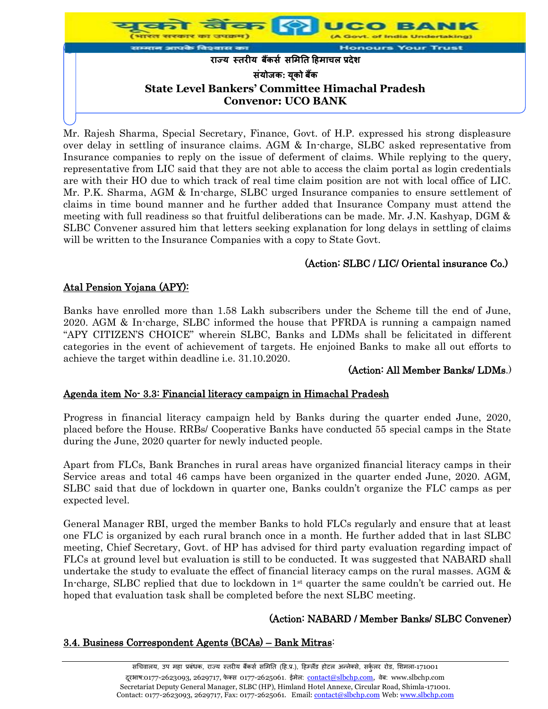

Mr. Rajesh Sharma, Special Secretary, Finance, Govt. of H.P. expressed his strong displeasure over delay in settling of insurance claims. AGM & In-charge, SLBC asked representative from Insurance companies to reply on the issue of deferment of claims. While replying to the query, representative from LIC said that they are not able to access the claim portal as login credentials are with their HO due to which track of real time claim position are not with local office of LIC. Mr. P.K. Sharma, AGM & In-charge, SLBC urged Insurance companies to ensure settlement of claims in time bound manner and he further added that Insurance Company must attend the meeting with full readiness so that fruitful deliberations can be made. Mr. J.N. Kashyap, DGM & SLBC Convener assured him that letters seeking explanation for long delays in settling of claims will be written to the Insurance Companies with a copy to State Govt.

# (Action: SLBC / LIC/ Oriental insurance Co.)

## Atal Pension Yojana (APY):

Banks have enrolled more than 1.58 Lakh subscribers under the Scheme till the end of June, 2020. AGM & In-charge, SLBC informed the house that PFRDA is running a campaign named "APY CITIZEN'S CHOICE" wherein SLBC, Banks and LDMs shall be felicitated in different categories in the event of achievement of targets. He enjoined Banks to make all out efforts to achieve the target within deadline i.e. 31.10.2020.

#### (Action: All Member Banks/ LDMs.)

#### Agenda item No- 3.3: Financial literacy campaign in Himachal Pradesh

Progress in financial literacy campaign held by Banks during the quarter ended June, 2020, placed before the House. RRBs/ Cooperative Banks have conducted 55 special camps in the State during the June, 2020 quarter for newly inducted people.

Apart from FLCs, Bank Branches in rural areas have organized financial literacy camps in their Service areas and total 46 camps have been organized in the quarter ended June, 2020. AGM, SLBC said that due of lockdown in quarter one, Banks couldn't organize the FLC camps as per expected level.

General Manager RBI, urged the member Banks to hold FLCs regularly and ensure that at least one FLC is organized by each rural branch once in a month. He further added that in last SLBC meeting, Chief Secretary, Govt. of HP has advised for third party evaluation regarding impact of FLCs at ground level but evaluation is still to be conducted. It was suggested that NABARD shall undertake the study to evaluate the effect of financial literacy camps on the rural masses. AGM & In-charge, SLBC replied that due to lockdown in  $1<sup>st</sup>$  quarter the same couldn't be carried out. He hoped that evaluation task shall be completed before the next SLBC meeting.

## (Action: NABARD / Member Banks/ SLBC Convener)

#### 3.4. Business Correspondent Agents (BCAs) – Bank Mitras: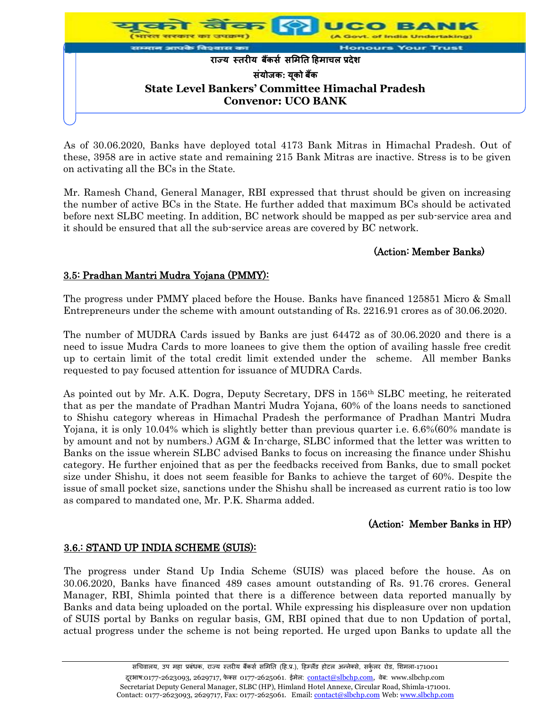

As of 30.06.2020, Banks have deployed total 4173 Bank Mitras in Himachal Pradesh. Out of these, 3958 are in active state and remaining 215 Bank Mitras are inactive. Stress is to be given on activating all the BCs in the State.

Mr. Ramesh Chand, General Manager, RBI expressed that thrust should be given on increasing the number of active BCs in the State. He further added that maximum BCs should be activated before next SLBC meeting. In addition, BC network should be mapped as per sub-service area and it should be ensured that all the sub-service areas are covered by BC network.

## (Action: Member Banks)

## 3.5: Pradhan Mantri Mudra Yojana (PMMY):

The progress under PMMY placed before the House. Banks have financed 125851 Micro & Small Entrepreneurs under the scheme with amount outstanding of Rs. 2216.91 crores as of 30.06.2020.

The number of MUDRA Cards issued by Banks are just 64472 as of 30.06.2020 and there is a need to issue Mudra Cards to more loanees to give them the option of availing hassle free credit up to certain limit of the total credit limit extended under the scheme. All member Banks requested to pay focused attention for issuance of MUDRA Cards.

As pointed out by Mr. A.K. Dogra, Deputy Secretary, DFS in 156th SLBC meeting, he reiterated that as per the mandate of Pradhan Mantri Mudra Yojana, 60% of the loans needs to sanctioned to Shishu category whereas in Himachal Pradesh the performance of Pradhan Mantri Mudra Yojana, it is only 10.04% which is slightly better than previous quarter i.e. 6.6%(60% mandate is by amount and not by numbers.) AGM & In-charge, SLBC informed that the letter was written to Banks on the issue wherein SLBC advised Banks to focus on increasing the finance under Shishu category. He further enjoined that as per the feedbacks received from Banks, due to small pocket size under Shishu, it does not seem feasible for Banks to achieve the target of 60%. Despite the issue of small pocket size, sanctions under the Shishu shall be increased as current ratio is too low as compared to mandated one, Mr. P.K. Sharma added.

## (Action: Member Banks in HP)

## 3.6.: STAND UP INDIA SCHEME (SUIS):

The progress under Stand Up India Scheme (SUIS) was placed before the house. As on 30.06.2020, Banks have financed 489 cases amount outstanding of Rs. 91.76 crores. General Manager, RBI, Shimla pointed that there is a difference between data reported manually by Banks and data being uploaded on the portal. While expressing his displeasure over non updation of SUIS portal by Banks on regular basis, GM, RBI opined that due to non Updation of portal, actual progress under the scheme is not being reported. He urged upon Banks to update all the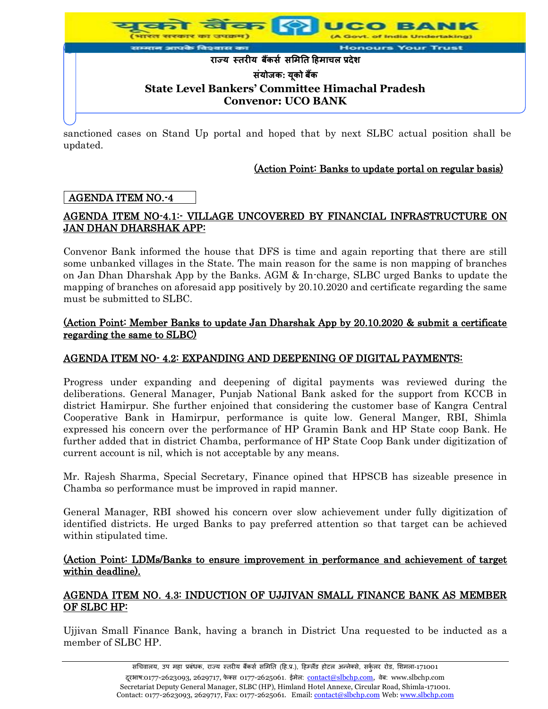

sanctioned cases on Stand Up portal and hoped that by next SLBC actual position shall be updated.

## (Action Point: Banks to update portal on regular basis)

## AGENDA ITEM NO.-4

## AGENDA ITEM NO-4.1:- VILLAGE UNCOVERED BY FINANCIAL INFRASTRUCTURE ON JAN DHAN DHARSHAK APP:

Convenor Bank informed the house that DFS is time and again reporting that there are still some unbanked villages in the State. The main reason for the same is non mapping of branches on Jan Dhan Dharshak App by the Banks. AGM & In-charge, SLBC urged Banks to update the mapping of branches on aforesaid app positively by 20.10.2020 and certificate regarding the same must be submitted to SLBC.

#### (Action Point: Member Banks to update Jan Dharshak App by 20.10.2020 & submit a certificate regarding the same to SLBC)

#### AGENDA ITEM NO- 4.2: EXPANDING AND DEEPENING OF DIGITAL PAYMENTS:

Progress under expanding and deepening of digital payments was reviewed during the deliberations. General Manager, Punjab National Bank asked for the support from KCCB in district Hamirpur. She further enjoined that considering the customer base of Kangra Central Cooperative Bank in Hamirpur, performance is quite low. General Manger, RBI, Shimla expressed his concern over the performance of HP Gramin Bank and HP State coop Bank. He further added that in district Chamba, performance of HP State Coop Bank under digitization of current account is nil, which is not acceptable by any means.

Mr. Rajesh Sharma, Special Secretary, Finance opined that HPSCB has sizeable presence in Chamba so performance must be improved in rapid manner.

General Manager, RBI showed his concern over slow achievement under fully digitization of identified districts. He urged Banks to pay preferred attention so that target can be achieved within stipulated time.

#### (Action Point: LDMs/Banks to ensure improvement in performance and achievement of target within deadline).

#### AGENDA ITEM NO. 4.3: INDUCTION OF UJJIVAN SMALL FINANCE BANK AS MEMBER OF SLBC HP:

Ujjivan Small Finance Bank, having a branch in District Una requested to be inducted as a member of SLBC HP.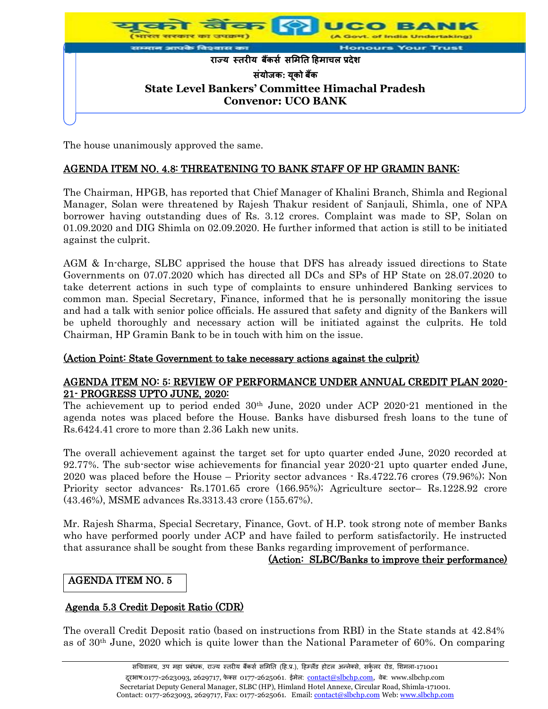

The house unanimously approved the same.

## AGENDA ITEM NO. 4.8: THREATENING TO BANK STAFF OF HP GRAMIN BANK:

The Chairman, HPGB, has reported that Chief Manager of Khalini Branch, Shimla and Regional Manager, Solan were threatened by Rajesh Thakur resident of Sanjauli, Shimla, one of NPA borrower having outstanding dues of Rs. 3.12 crores. Complaint was made to SP, Solan on 01.09.2020 and DIG Shimla on 02.09.2020. He further informed that action is still to be initiated against the culprit.

AGM & In-charge, SLBC apprised the house that DFS has already issued directions to State Governments on 07.07.2020 which has directed all DCs and SPs of HP State on 28.07.2020 to take deterrent actions in such type of complaints to ensure unhindered Banking services to common man. Special Secretary, Finance, informed that he is personally monitoring the issue and had a talk with senior police officials. He assured that safety and dignity of the Bankers will be upheld thoroughly and necessary action will be initiated against the culprits. He told Chairman, HP Gramin Bank to be in touch with him on the issue.

#### (Action Point: State Government to take necessary actions against the culprit)

#### AGENDA ITEM NO: 5: REVIEW OF PERFORMANCE UNDER ANNUAL CREDIT PLAN 2020- 21- PROGRESS UPTO JUNE, 2020:

The achievement up to period ended  $30<sup>th</sup>$  June, 2020 under ACP 2020-21 mentioned in the agenda notes was placed before the House. Banks have disbursed fresh loans to the tune of Rs.6424.41 crore to more than 2.36 Lakh new units.

The overall achievement against the target set for upto quarter ended June, 2020 recorded at 92.77%. The sub-sector wise achievements for financial year 2020-21 upto quarter ended June, 2020 was placed before the House – Priority sector advances - Rs.4722.76 crores (79.96%); Non Priority sector advances- Rs.1701.65 crore (166.95%); Agriculture sector– Rs.1228.92 crore (43.46%), MSME advances Rs.3313.43 crore (155.67%).

Mr. Rajesh Sharma, Special Secretary, Finance, Govt. of H.P. took strong note of member Banks who have performed poorly under ACP and have failed to perform satisfactorily. He instructed that assurance shall be sought from these Banks regarding improvement of performance.

#### (Action: SLBC/Banks to improve their performance)

## AGENDA ITEM NO. 5

## Agenda 5.3 Credit Deposit Ratio (CDR)

The overall Credit Deposit ratio (based on instructions from RBI) in the State stands at 42.84% as of 30th June, 2020 which is quite lower than the National Parameter of 60%. On comparing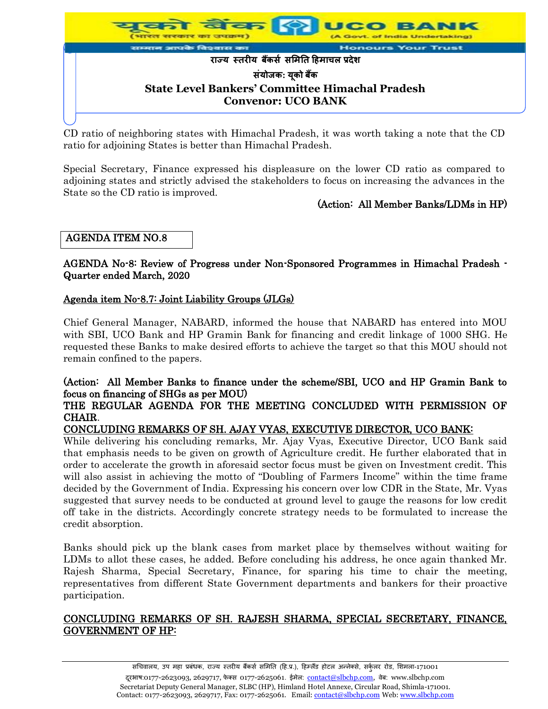

CD ratio of neighboring states with Himachal Pradesh, it was worth taking a note that the CD ratio for adjoining States is better than Himachal Pradesh.

Special Secretary, Finance expressed his displeasure on the lower CD ratio as compared to adjoining states and strictly advised the stakeholders to focus on increasing the advances in the State so the CD ratio is improved.

## (Action: All Member Banks/LDMs in HP)

## AGENDA ITEM NO.8

AGENDA No-8: Review of Progress under Non-Sponsored Programmes in Himachal Pradesh - Quarter ended March, 2020

#### Agenda item No-8.7: Joint Liability Groups (JLGs)

Chief General Manager, NABARD, informed the house that NABARD has entered into MOU with SBI, UCO Bank and HP Gramin Bank for financing and credit linkage of 1000 SHG. He requested these Banks to make desired efforts to achieve the target so that this MOU should not remain confined to the papers.

# (Action: All Member Banks to finance under the scheme/SBI, UCO and HP Gramin Bank to focus on financing of SHGs as per MOU)

#### THE REGULAR AGENDA FOR THE MEETING CONCLUDED WITH PERMISSION OF CHAIR.

## CONCLUDING REMARKS OF SH. AJAY VYAS, EXECUTIVE DIRECTOR, UCO BANK:

While delivering his concluding remarks, Mr. Ajay Vyas, Executive Director, UCO Bank said that emphasis needs to be given on growth of Agriculture credit. He further elaborated that in order to accelerate the growth in aforesaid sector focus must be given on Investment credit. This will also assist in achieving the motto of "Doubling of Farmers Income" within the time frame decided by the Government of India. Expressing his concern over low CDR in the State, Mr. Vyas suggested that survey needs to be conducted at ground level to gauge the reasons for low credit off take in the districts. Accordingly concrete strategy needs to be formulated to increase the credit absorption.

Banks should pick up the blank cases from market place by themselves without waiting for LDMs to allot these cases, he added. Before concluding his address, he once again thanked Mr. Rajesh Sharma, Special Secretary, Finance, for sparing his time to chair the meeting, representatives from different State Government departments and bankers for their proactive participation.

#### CONCLUDING REMARKS OF SH. RAJESH SHARMA, SPECIAL SECRETARY, FINANCE, GOVERNMENT OF HP: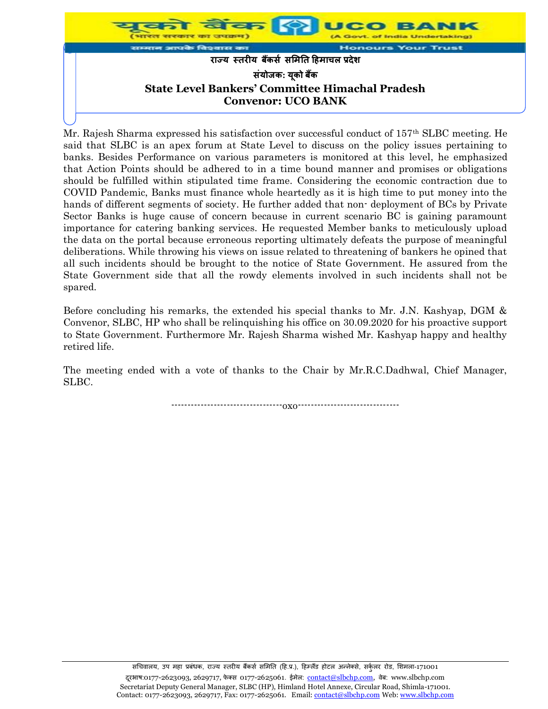

Mr. Rajesh Sharma expressed his satisfaction over successful conduct of 157th SLBC meeting. He said that SLBC is an apex forum at State Level to discuss on the policy issues pertaining to banks. Besides Performance on various parameters is monitored at this level, he emphasized that Action Points should be adhered to in a time bound manner and promises or obligations should be fulfilled within stipulated time frame. Considering the economic contraction due to COVID Pandemic, Banks must finance whole heartedly as it is high time to put money into the hands of different segments of society. He further added that non-deployment of BCs by Private Sector Banks is huge cause of concern because in current scenario BC is gaining paramount importance for catering banking services. He requested Member banks to meticulously upload the data on the portal because erroneous reporting ultimately defeats the purpose of meaningful deliberations. While throwing his views on issue related to threatening of bankers he opined that all such incidents should be brought to the notice of State Government. He assured from the State Government side that all the rowdy elements involved in such incidents shall not be spared.

Before concluding his remarks, the extended his special thanks to Mr. J.N. Kashyap, DGM & Convenor, SLBC, HP who shall be relinquishing his office on 30.09.2020 for his proactive support to State Government. Furthermore Mr. Rajesh Sharma wished Mr. Kashyap happy and healthy retired life.

The meeting ended with a vote of thanks to the Chair by Mr.R.C.Dadhwal, Chief Manager, SLBC.

----------------------------------oxo-------------------------------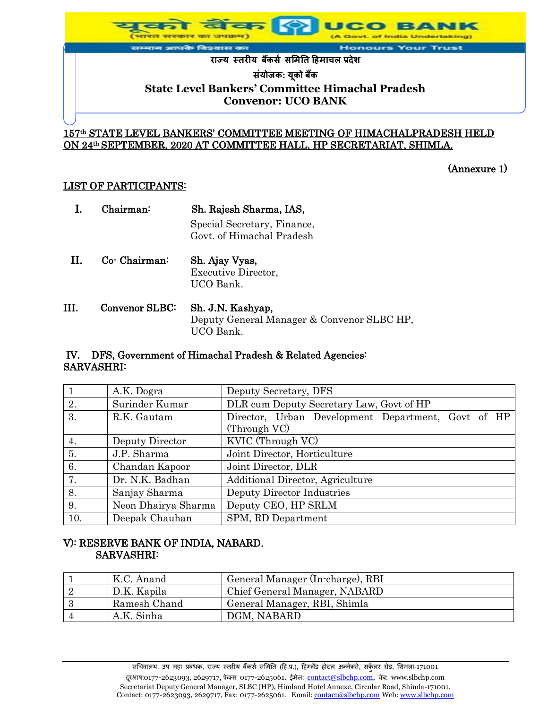

# 157th STATE LEVEL BANKERS' COMMITTEE MEETING OF HIMACHALPRADESH HELD

#### ON 24th SEPTEMBER, 2020 AT COMMITTEE HALL, HP SECRETARIAT, SHIMLA.

(Annexure 1)

#### LIST OF PARTICIPANTS:

|    | Chairman:        | Sh. Rajesh Sharma, IAS,<br>Special Secretary, Finance,<br>Govt, of Himachal Pradesh |
|----|------------------|-------------------------------------------------------------------------------------|
| H. | $Co$ - Chairman: | Sh. Ajay Vyas,<br><b>Executive Director,</b><br>UCO Bank.                           |
|    | Convenor SLBC:   | Sh. J.N. Kashyap,                                                                   |

 Deputy General Manager & Convenor SLBC HP, UCO Bank.

#### IV. DFS, Government of Himachal Pradesh & Related Agencies: SARVASHRI:

|     | A.K. Dogra          | Deputy Secretary, DFS                                              |  |
|-----|---------------------|--------------------------------------------------------------------|--|
| 2.  | Surinder Kumar      | DLR cum Deputy Secretary Law, Govt of HP                           |  |
| 3.  | R.K. Gautam         | Director, Urban Development Department, Govt of HP<br>(Through VC) |  |
|     |                     |                                                                    |  |
| 4.  | Deputy Director     | KVIC (Through VC)                                                  |  |
| 5.  | J.P. Sharma         | Joint Director, Horticulture                                       |  |
| 6.  | Chandan Kapoor      | Joint Director, DLR                                                |  |
| 7.  | Dr. N.K. Badhan     | Additional Director, Agriculture                                   |  |
| 8.  | Sanjay Sharma       | Deputy Director Industries                                         |  |
| 9.  | Neon Dhairya Sharma | Deputy CEO, HP SRLM                                                |  |
| 10. | Deepak Chauhan      | SPM, RD Department                                                 |  |

## V): RESERVE BANK OF INDIA, NABARD. SARVASHRI:

| K.C. Anand   | General Manager (In-charge), RBI |
|--------------|----------------------------------|
| D.K. Kapila  | Chief General Manager, NABARD    |
| Ramesh Chand | General Manager, RBI, Shimla     |
| A.K. Sinha   | DGM, NABARD                      |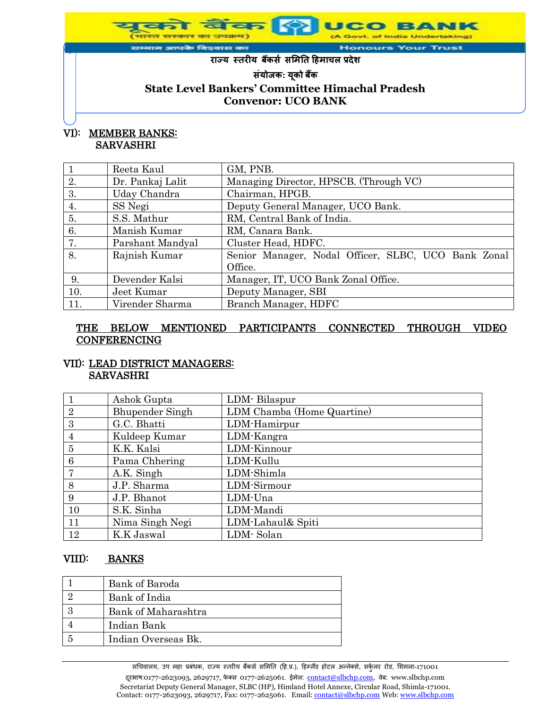**Honours Your Trust** आपके विश्वास का

**राज्य स्तरीय बकैंर्स र्मितत हििाचल प्रदेश**

**र्ंयोजक: यकू ो बकैं**

# **State Level Bankers' Committee Himachal Pradesh Convenor: UCO BANK**

## VI): MEMBER BANKS: SARVASHRI

|     | Reeta Kaul       | GM, PNB.                                            |  |
|-----|------------------|-----------------------------------------------------|--|
| 2.  | Dr. Pankaj Lalit | Managing Director, HPSCB. (Through VC)              |  |
| 3.  | Uday Chandra     | Chairman, HPGB.                                     |  |
| 4.  | SS Negi          | Deputy General Manager, UCO Bank.                   |  |
| 5.  | S.S. Mathur      | RM, Central Bank of India.                          |  |
| 6.  | Manish Kumar     | RM, Canara Bank.                                    |  |
| 7.  | Parshant Mandyal | Cluster Head, HDFC.                                 |  |
| 8.  | Rajnish Kumar    | Senior Manager, Nodal Officer, SLBC, UCO Bank Zonal |  |
|     |                  | Office.                                             |  |
| 9.  | Devender Kalsi   | Manager, IT, UCO Bank Zonal Office.                 |  |
| 10. | Jeet Kumar       | Deputy Manager, SBI                                 |  |
| 11. | Virender Sharma  | Branch Manager, HDFC                                |  |

## THE BELOW MENTIONED PARTICIPANTS CONNECTED THROUGH VIDEO **CONFERENCING**

#### VII): LEAD DISTRICT MANAGERS: SARVASHRI

|                | Ashok Gupta            | LDM-Bilaspur               |
|----------------|------------------------|----------------------------|
| $\overline{2}$ | <b>Bhupender Singh</b> | LDM Chamba (Home Quartine) |
| 3              | G.C. Bhatti            | LDM-Hamirpur               |
| $\overline{4}$ | Kuldeep Kumar          | LDM-Kangra                 |
| 5              | K.K. Kalsi             | LDM-Kinnour                |
| 6              | Pama Chhering          | LDM-Kullu                  |
| 7              | A.K. Singh             | LDM-Shimla                 |
| 8              | J.P. Sharma            | LDM-Sirmour                |
| 9              | J.P. Bhanot            | LDM-Una                    |
| 10             | S.K. Sinha             | LDM-Mandi                  |
| 11             | Nima Singh Negi        | LDM-Lahaul& Spiti          |
| 12             | K.K Jaswal             | LDM-Solan                  |

## VIII): BANKS

| <b>Bank of Baroda</b> |
|-----------------------|
| Bank of India         |
| Bank of Maharashtra   |
| Indian Bank           |
| Indian Overseas Bk.   |